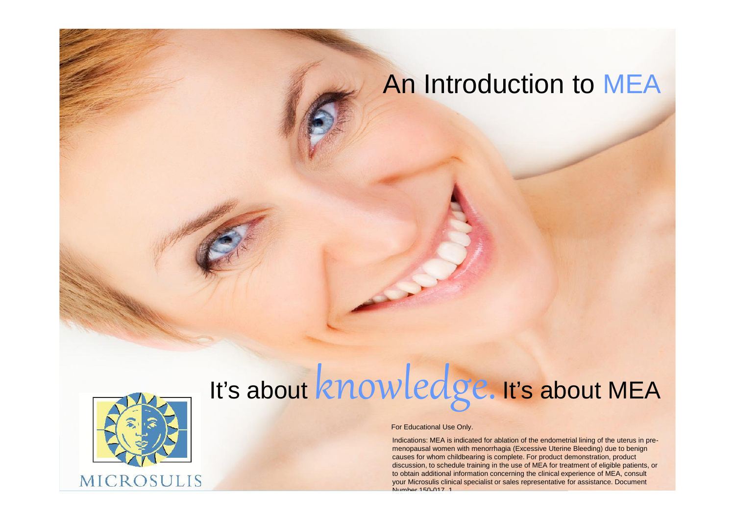### An Introduction to MEA



# It's about knowledge. It's about MEA

For Educational Use Only.

Indications: MEA is indicated for ablation of the endometrial lining of the uterus in pre menopausal women with menorrhagia (Excessive Uterine Bleeding) due to benign causes for whom childbearing is complete. For product demonstration, product discussion, to schedule training in the use of MEA for treatment of eligible patients, or to obtain additional information concerning the clinical experience of MEA, consult your Microsulis clinical specialist or sales representative for assistance. Document Number 150-017\_1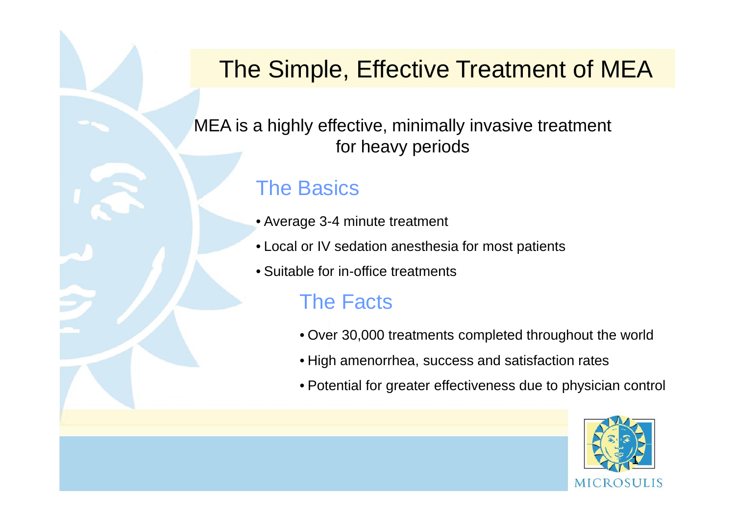### The Simple, Effective Treatment of MEA

MEA is a highly effective, minimally invasive treatment for heavy periods

#### The Basics

- Average 3-4 minute treatment
- Local or IV sedation anesthesia for most patients
- Suitable for in-office treatments

### The Facts

- Over 30,000 treatments completed throughout the world
- High amenorrhea, success and satisfaction rates
- Potential for greater effectiveness due to physician control

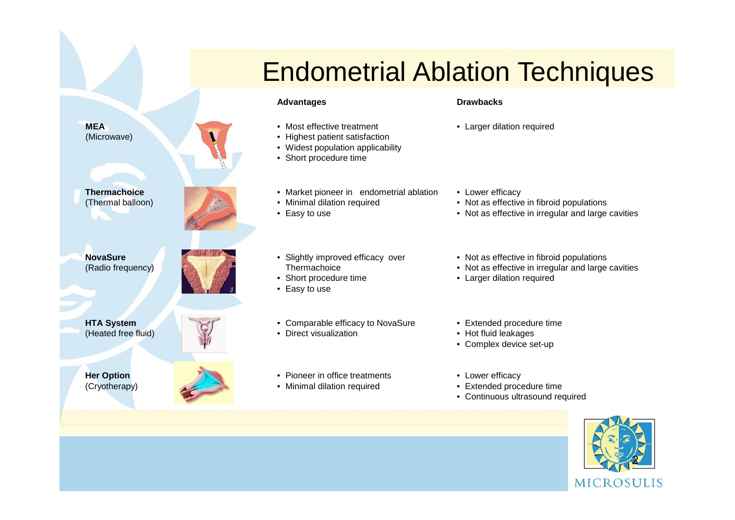**MEA**<br>(Microwave)

**Thermachoice**<br>
(Thermal balloon) • Market pioneer in endometrial ablation • Lower efficacy<br>
• Minimal dilation required • Not as effective in fibro **Thermachoice**<br>(Thermal balloon)

**NovaSure**<br>(Radio frequency)

**HTA System**<br>(Heated free fluid)

**For Option The Character Character Character Character Character Character Character Character Character Character Character Character Character Character Character Character Character Character Character Character Charac Her Option**<br>(Cryotherapy)

## Endometrial Ablation Techniques

#### Advantages **Drawbacks**

- Most effective treatment
- **MEA** Most effective treatment Larger dilation required<br>
(Microwave) Highest patient satisfaction
	- Widest population applicability
	- Short procedure time
	-
	- Minimal dilation required
	- Easy to use
- Slightly improved efficacy over **Thermachoice** NovaSure entity induced the Slightly improved efficacy over **• Not as effective in fibroid populations**<br>(Radio frequency) **Contract of the Contract of Contract of Contract of Contract of Contract of Contract of Contract of** 
	- Short procedure time
	- Easy to use
- Comparable efficacy to NovaSure HTA System **Extended procedure time**<br>(Heated free fluid) **COLL CONTROL** • Direct visualization **CONTROL** • Plot fluid leakages
	- Direct visualization
	- Pioneer in office treatments
	-
- 
- 

- 
- Not as effective in fibroid populations
- Not as effective in irregular and large cavities
- 
- 
- Larger dilation required
- 
- Hot fluid leakages
- Complex device set-up
- 
- Extended procedure time
- Continuous ultrasound required

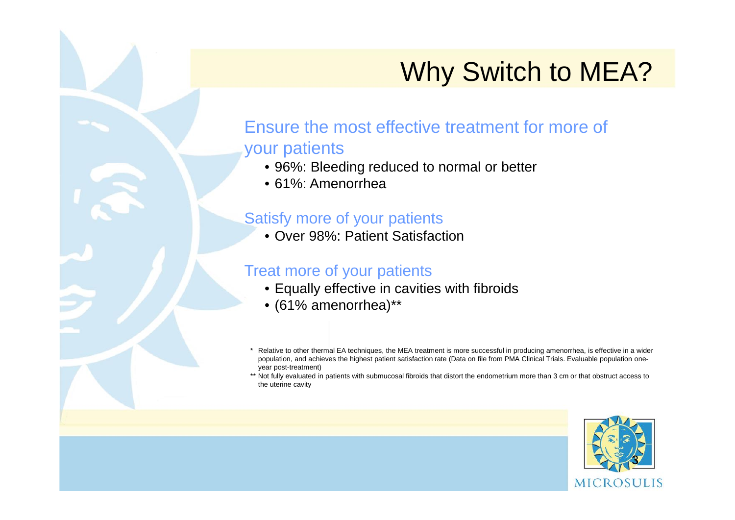## Why Switch to MEA?

#### Ensure the most effective treatment for more of your patients

- 96%: Bleeding reduced to normal or better
- 61%: Amenorrhea

#### Satisfy more of your patients

• Over 98%: Patient Satisfaction

#### Treat more of your patients

- Equally effective in cavities with fibroids
- (61% amenorrhea)\*\*
- Relative to other thermal EA techniques, the MEA treatment is more successful in producing amenorrhea, is effective in a wider population, and achieves the highest patient satisfaction rate (Data on file from PMA Clinical Trials. Evaluable population one year post-treatment)

\*\* Not fully evaluated in patients with submucosal fibroids that distort the endometrium more than 3 cm or that obstruct access to the uterine cavity

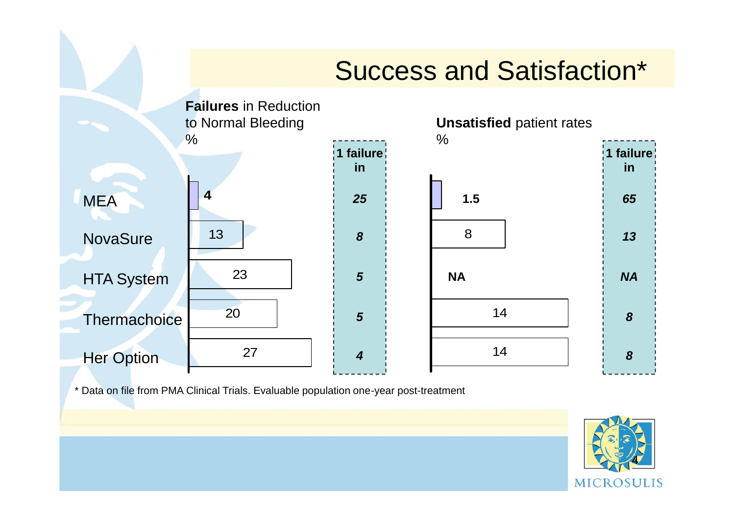## Success and Satisfaction\*



\* Data on file from PMA Clinical Trials. Evaluable population one-year post-treatment

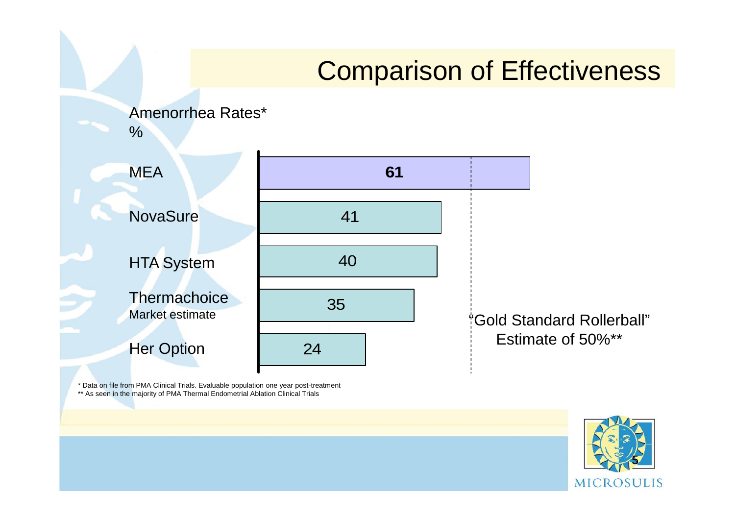#### 41 40 35 24 **61** Amenorrhea Rates\* % "Gold Standard Rollerball" Estimate of 50%\*\* Comparison of Effectiveness **MEA Her Option NovaSure** HTA System **Thermachoice** Market estimate

\* Data on file from PMA Clinical Trials. Evaluable population one year post-treatment \*\* As seen in the majority of PMA Thermal Endometrial Ablation Clinical Trials

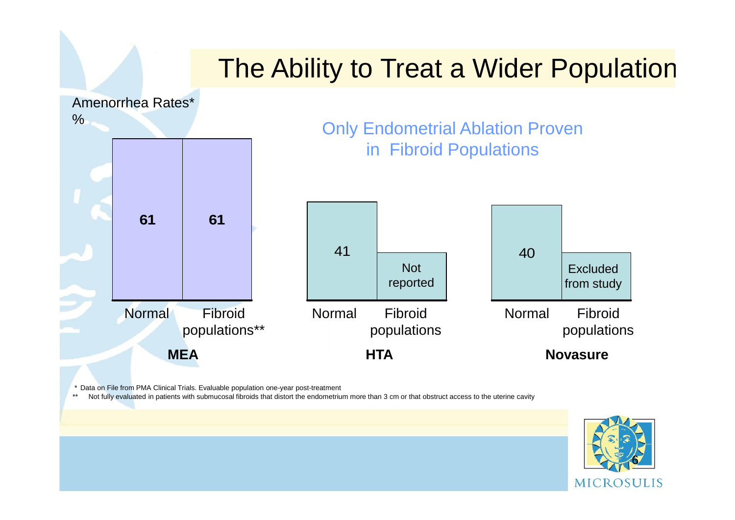## The Ability to Treat a Wider Population



\* Data on File from PMA Clinical Trials. Evaluable population one-year post-treatment

Not fully evaluated in patients with submucosal fibroids that distort the endometrium more than 3 cm or that obstruct access to the uterine cavity

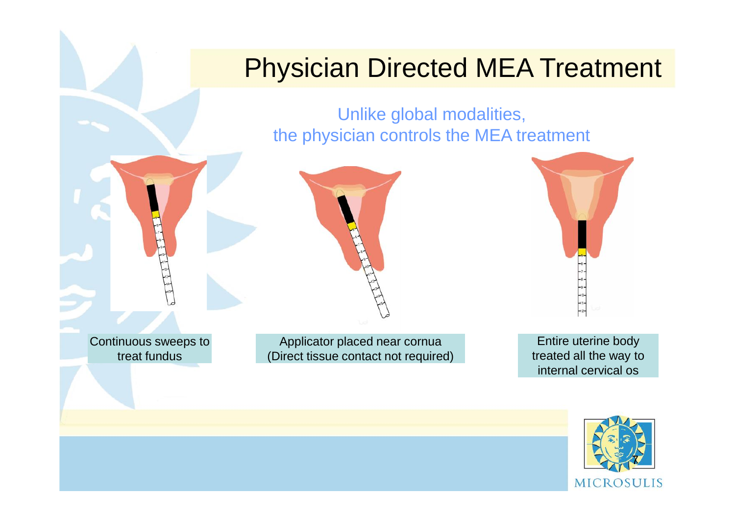### Physician Directed MEA Treatment

Unlike global modalities, the physician controls the MEA treatment







Continuous sweeps to treat fundus

Applicator placed near cornua (Direct tissue contact not required)

Entire uterine body treated all the way to internal cervical os

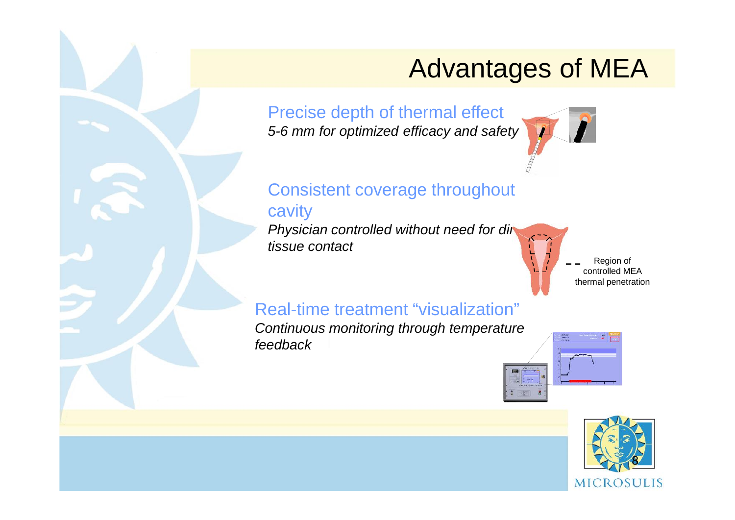## Advantages of MEA

Precise depth of thermal effect *5-6 mm for optimized efficacy and safety*



### Consistent coverage throughout

#### cavity

*Physician controlled without need for direction tissue contact*



#### controlled MEA thermal penetration

#### Real-time treatment "visualization"

*Continuous monitoring through temperature feedback*



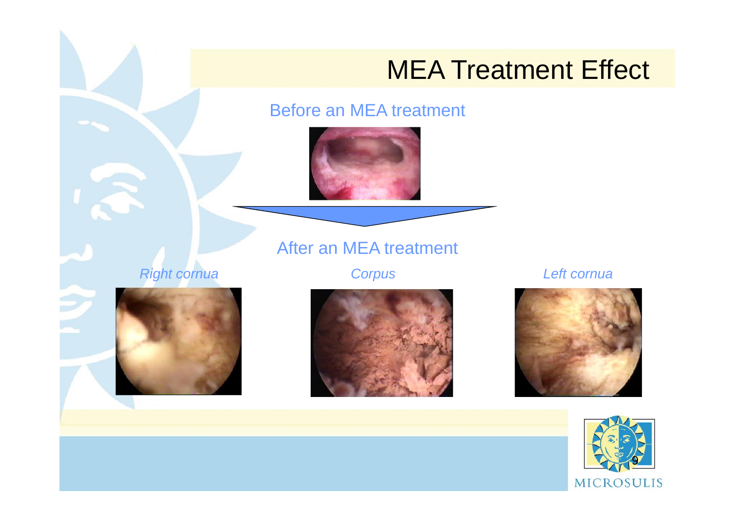## MEA Treatment Effect

Before an MEA treatment



*Right cornua Corpus Left cornua*

After an MEA treatment





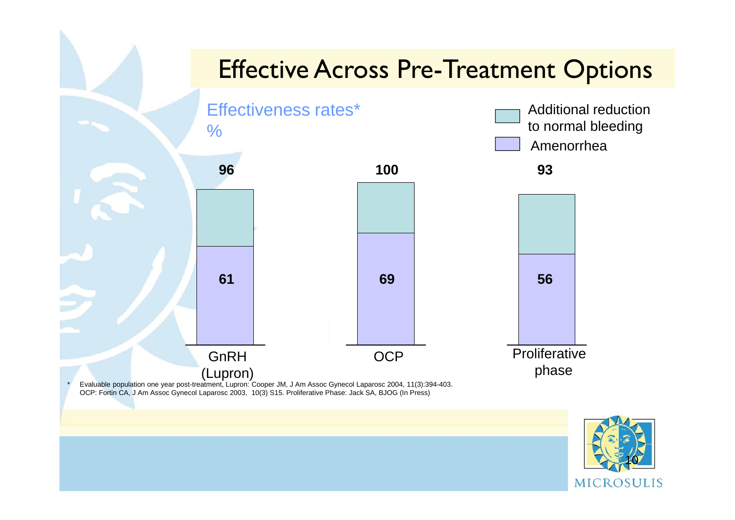### Effective Across Pre-Treatment Options Effectiveness rates\* % Amenorrhea Additional reduction to normal bleeding **100 93 96 61 69 56**

(Lupron) \* Evaluable population one year post-treatment, Lupron: Cooper JM, J Am Assoc Gynecol Laparosc 2004, 11(3):394-403. OCP: Fortin CA, J Am Assoc Gynecol Laparosc 2003, 10(3) S15. Proliferative Phase: Jack SA, BJOG (In Press)

**GnRH** 



phase

OCP Proliferative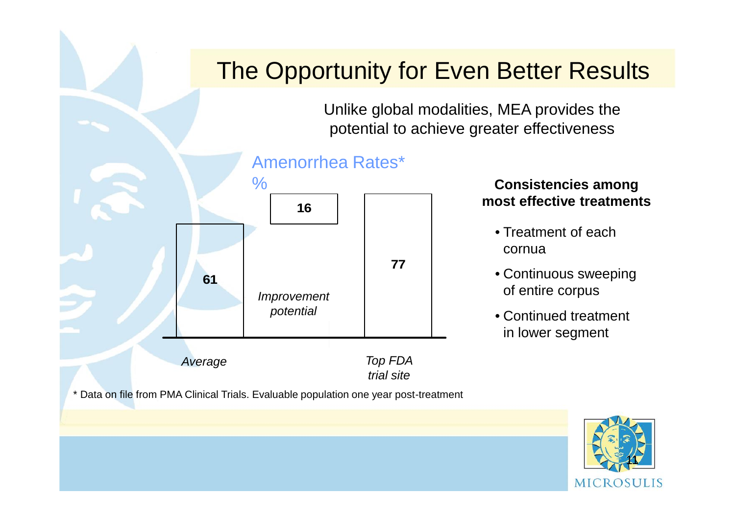## The Opportunity for Even Better Results

Unlike global modalities, MEA provides the potential to achieve greater effectiveness





\* Data on file from PMA Clinical Trials. Evaluable population one year post-treatment

#### **Consistencies among most effective treatments**

- Treatment of each cornua
- Continuous sweeping of entire corpus
- Continued treatment in lower segment

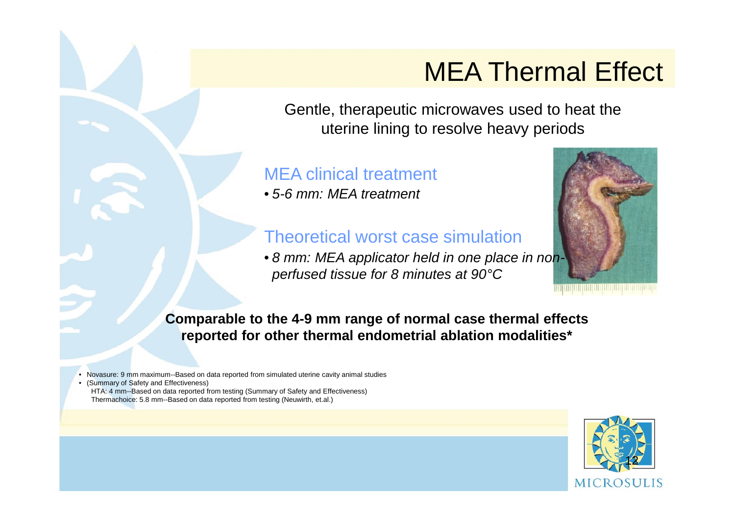## MEA Thermal Effect

Gentle, therapeutic microwaves used to heat the uterine lining to resolve heavy periods

#### MEA clinical treatment

• *5-6 mm: MEA treatment*

#### Theoretical worst case simulation

• *8 mm: MEA applicator held in one place in non perfused tissue for 8 minutes at 90°C*



**Comparable to the 4-9 mm range of normal case thermal effects reported for other thermal endometrial ablation modalities\***

• Novasure: 9 mm maximum--Based on data reported from simulated uterine cavity animal studies

• (Summary of Safety and Effectiveness) HTA: 4 mm--Based on data reported from testing (Summary of Safety and Effectiveness) Thermachoice: 5.8 mm--Based on data reported from testing (Neuwirth, et.al.)